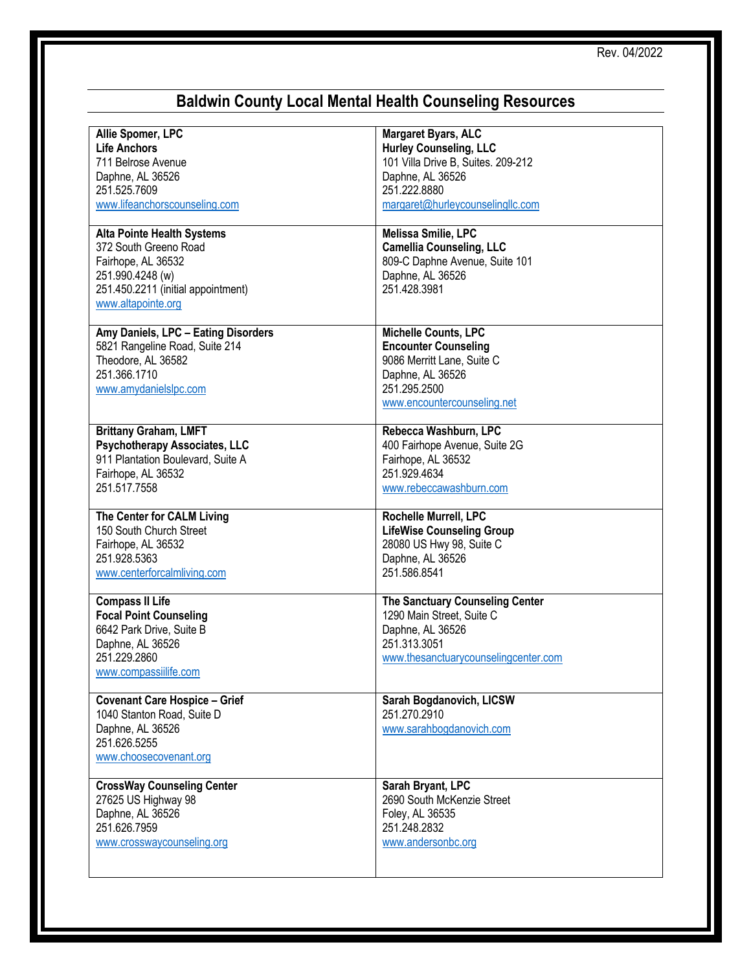## **Baldwin County Local Mental Health Counseling Resources**

| Allie Spomer, LPC                                                                                                                                                | Margaret Byars, ALC                                                                                                                                  |
|------------------------------------------------------------------------------------------------------------------------------------------------------------------|------------------------------------------------------------------------------------------------------------------------------------------------------|
| <b>Life Anchors</b>                                                                                                                                              | <b>Hurley Counseling, LLC</b>                                                                                                                        |
| 711 Belrose Avenue                                                                                                                                               | 101 Villa Drive B, Suites. 209-212                                                                                                                   |
| Daphne, AL 36526                                                                                                                                                 | Daphne, AL 36526                                                                                                                                     |
| 251.525.7609                                                                                                                                                     | 251.222.8880                                                                                                                                         |
| www.lifeanchorscounseling.com                                                                                                                                    | margaret@hurleycounselingllc.com                                                                                                                     |
| <b>Alta Pointe Health Systems</b><br>372 South Greeno Road<br>Fairhope, AL 36532<br>251.990.4248 (w)<br>251.450.2211 (initial appointment)<br>www.altapointe.org | Melissa Smilie, LPC<br><b>Camellia Counseling, LLC</b><br>809-C Daphne Avenue, Suite 101<br>Daphne, AL 36526<br>251.428.3981                         |
| Amy Daniels, LPC - Eating Disorders<br>5821 Rangeline Road, Suite 214<br>Theodore, AL 36582<br>251.366.1710<br>www.amydanielslpc.com                             | Michelle Counts, LPC<br><b>Encounter Counseling</b><br>9086 Merritt Lane, Suite C<br>Daphne, AL 36526<br>251.295.2500<br>www.encountercounseling.net |
| <b>Brittany Graham, LMFT</b>                                                                                                                                     | Rebecca Washburn, LPC                                                                                                                                |
| <b>Psychotherapy Associates, LLC</b>                                                                                                                             | 400 Fairhope Avenue, Suite 2G                                                                                                                        |
| 911 Plantation Boulevard, Suite A                                                                                                                                | Fairhope, AL 36532                                                                                                                                   |
| Fairhope, AL 36532                                                                                                                                               | 251.929.4634                                                                                                                                         |
| 251.517.7558                                                                                                                                                     | www.rebeccawashburn.com                                                                                                                              |
| The Center for CALM Living                                                                                                                                       | Rochelle Murrell, LPC                                                                                                                                |
| 150 South Church Street                                                                                                                                          | <b>LifeWise Counseling Group</b>                                                                                                                     |
| Fairhope, AL 36532                                                                                                                                               | 28080 US Hwy 98, Suite C                                                                                                                             |
| 251.928.5363                                                                                                                                                     | Daphne, AL 36526                                                                                                                                     |
| www.centerforcalmliving.com                                                                                                                                      | 251.586.8541                                                                                                                                         |
| <b>Compass II Life</b><br><b>Focal Point Counseling</b><br>6642 Park Drive, Suite B<br>Daphne, AL 36526<br>251.229.2860<br>www.compassiilife.com                 | <b>The Sanctuary Counseling Center</b><br>1290 Main Street, Suite C<br>Daphne, AL 36526<br>251.313.3051<br>www.thesanctuarycounselingcenter.com      |
| <b>Covenant Care Hospice - Grief</b><br>1040 Stanton Road, Suite D<br>Daphne, AL 36526<br>251.626.5255<br>www.choosecovenant.org                                 | Sarah Bogdanovich, LICSW<br>251.270.2910<br>www.sarahbogdanovich.com                                                                                 |
| <b>CrossWay Counseling Center</b>                                                                                                                                | Sarah Bryant, LPC                                                                                                                                    |
| 27625 US Highway 98                                                                                                                                              | 2690 South McKenzie Street                                                                                                                           |
| Daphne, AL 36526                                                                                                                                                 | Foley, AL 36535                                                                                                                                      |
| 251.626.7959                                                                                                                                                     | 251.248.2832                                                                                                                                         |
| www.crosswaycounseling.org                                                                                                                                       | www.andersonbc.org                                                                                                                                   |